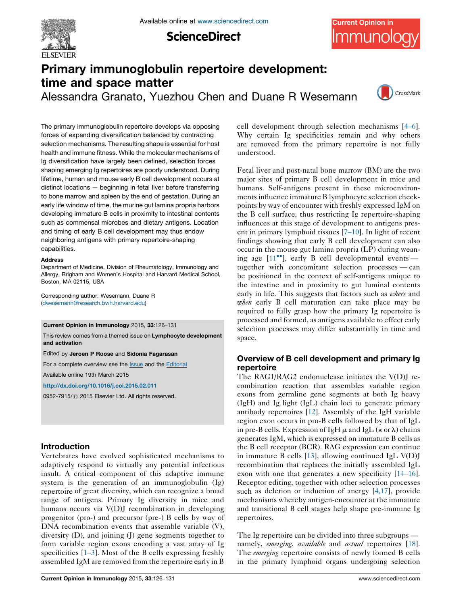

**ScienceDirect** 



# Primary immunoglobulin repertoire development: time and space matter

Alessandra Granato, Yuezhou Chen and Duane R Wesemann



The primary immunoglobulin repertoire develops via opposing forces of expanding diversification balanced by contracting selection mechanisms. The resulting shape is essential for host health and immune fitness. While the molecular mechanisms of Ig diversification have largely been defined, selection forces shaping emerging Ig repertoires are poorly understood. During lifetime, human and mouse early B cell development occurs at distinct locations — beginning in fetal liver before transferring to bone marrow and spleen by the end of gestation. During an early life window of time, the murine gut lamina propria harbors developing immature B cells in proximity to intestinal contents such as commensal microbes and dietary antigens. Location and timing of early B cell development may thus endow neighboring antigens with primary repertoire-shaping capabilities.

#### Address

Department of Medicine, Division of Rheumatology, Immunology and Allergy, Brigham and Women's Hospital and Harvard Medical School, Boston, MA 02115, USA

Corresponding author: Wesemann, Duane R ([dwesemann@research.bwh.harvard.edu](mailto:dwesemann@research.bwh.harvard.edu))

#### Current Opinion in Immunology 2015, 33:126–131

This review comes from a themed issue on Lymphocyte development and activation

Edited by Jeroen P Roose and Sidonia Fagarasan

For a complete overview see the [Issue](http://www.sciencedirect.com/science/journal/09527915/33) and the [Editorial](http://dx.doi.org/10.1016/j.coi.2015.03.003)

Available online 19th March 2015

<http://dx.doi.org/10.1016/j.coi.2015.02.011>

0952-7915/ C 2015 Elsevier Ltd. All rights reserved.

# Introduction

Vertebrates have evolved sophisticated mechanisms to adaptively respond to virtually any potential infectious insult. A critical component of this adaptive immune system is the generation of an immunoglobulin (Ig) repertoire of great diversity, which can recognize a broad range of antigens. Primary Ig diversity in mice and humans occurs via V(D)J recombination in developing progenitor (pro-) and precursor (pre-) B cells by way of DNA recombination events that assemble variable (V), diversity (D), and joining (J) gene segments together to form variable region exons encoding a vast array of Ig specificities  $[1-3]$ . Most of the B cells expressing freshly assembled IgM are removed from the repertoire early in B

cell development through selection mechanisms [4[–](#page-3-0)6]. Why certain Ig specificities remain and why others are removed from the primary repertoire is not fully understood.

Fetal liver and post-natal bone marrow (BM) are the two major sites of primary B cell development in mice and humans. Self-antigens present in these microenvironmentsinfluence immature B lymphocyte selection checkpoints by way of encounter with freshly expressed IgM on the B cell surface, thus restricting Ig repertoire-shaping influences at this stage of development to antigens present in primary lymphoid tissues [7–[10](#page-3-0)]. In light of recent findings showing that early B cell development can also occur in the mouse gut lamina propria (LP) during wean-ing age [[11](#page-3-0)<sup>••</sup>], early B cell developmental events together with concomitant selection processes — can be positioned in the context of self-antigens unique to the intestine and in proximity to gut luminal contents early in life. This suggests that factors such as where and when early B cell maturation can take place may be required to fully grasp how the primary Ig repertoire is processed and formed, as antigens available to effect early selection processes may differ substantially in time and space.

# Overview of B cell development and primary Ig repertoire

The RAG1/RAG2 endonuclease initiates the V(D)J recombination reaction that assembles variable region exons from germline gene segments at both Ig heavy (IgH) and Ig light (IgL) chain loci to generate primary antibody repertoires [\[12](#page-4-0)]. Assembly of the IgH variable region exon occurs in pro-B cells followed by that of IgL in pre-B cells. Expression of IgH  $\mu$  and IgL ( $\kappa$  or  $\lambda$ ) chains generates IgM, which is expressed on immature B cells as the B cell receptor (BCR). RAG expression can continue in immature B cells [[13\]](#page-4-0), allowing continued IgL V(D)J recombination that replaces the initially assembled IgL exon with one that generates a new specificity [[14](#page-4-0)–16]. Receptor editing, together with other selection processes such as deletion or induction of anergy [[4,17](#page-3-0)], provide mechanisms whereby antigen-encounter at the immature and transitional B cell stages help shape pre-immune Ig repertoires.

The Ig repertoire can be divided into three subgroups namely, *emerging*, *available* and *actual* repertoires [[18](#page-4-0)]. The *emerging* repertoire consists of newly formed B cells in the primary lymphoid organs undergoing selection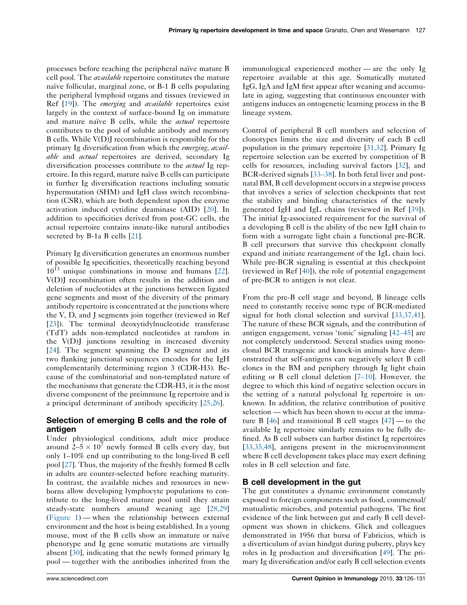processes before reaching the peripheral naïve mature B cell pool. The *available* repertoire constitutes the mature naïve follicular, marginal zone, or B-1 B cells populating the peripheral lymphoid organs and tissues (reviewed in Ref [[19\]](#page-4-0)). The *emerging* and *available* repertoires exist largely in the context of surface-bound Ig on immature and mature naïve B cells, while the *actual* repertoire contributes to the pool of soluble antibody and memory B cells. While V(D)J recombination is responsible for the primary Ig diversification from which the *emerging*, *avail*able and *actual* repertoires are derived, secondary Ig diversification processes contribute to the *actual* Ig repertoire. In this regard, mature naïve B cells can participate in further Ig diversification reactions including somatic hypermutation (SHM) and IgH class switch recombination (CSR), which are both dependent upon the enzyme activation induced cytidine deaminase (AID) [[20\]](#page-4-0). In addition to specificities derived from post-GC cells, the actual repertoire contains innate-like natural antibodies secreted by B-1a B cells [[21\]](#page-4-0).

Primary Ig diversification generates an enormous number of possible Ig specificities, theoretically reaching beyond  $10^{13}$  unique combinations in mouse and humans [\[22](#page-4-0)]. V(D)J recombination often results in the addition and deletion of nucleotides at the junctions between ligated gene segments and most of the diversity of the primary antibody repertoire is concentrated at the junctions where the V, D, and J segments join together (reviewed in Ref [\[23](#page-4-0)]). The terminal deoxytidylnucleotide transferase (TdT) adds non-templated nucleotides at random in the V(D)J junctions resulting in increased diversity [\[24](#page-4-0)]. The segment spanning the D segment and its two flanking junctional sequences encodes for the IgH complementarily determining region 3 (CDR-H3). Because of the combinatorial and non-templated nature of the mechanisms that generate the CDR-H3, it is the most diverse component of the preimmune Ig repertoire and is a principal determinant of antibody specificity [\[25,26\]](#page-4-0).

# Selection of emerging B cells and the role of antigen

Under physiological conditions, adult mice produce around  $2-5 \times 10^7$  newly formed B cells every day, but only 1–10% end up contributing to the long-lived B cell pool [[27\]](#page-4-0). Thus, the majority of the freshly formed B cells in adults are counter-selected before reaching maturity. In contrast, the available niches and resources in newborns allow developing lymphocyte populations to contribute to the long-lived mature pool until they attain steady-state numbers around weaning age [\[28,29\]](#page-4-0) [\(Figure](#page-2-0) 1) — when the relationship between external environment and the host is being established. In a young mouse, most of the B cells show an immature or naïve phenotype and Ig gene somatic mutations are virtually absent [[30\]](#page-4-0), indicating that the newly formed primary Ig pool — together with the antibodies inherited from the immunological experienced mother — are the only Ig repertoire available at this age. Somatically mutated IgG, IgA and IgM first appear after weaning and accumulate in aging, suggesting that continuous encounter with antigens induces an ontogenetic learning process in the B lineage system.

Control of peripheral B cell numbers and selection of clonotypes limits the size and diversity of each B cell population in the primary repertoire [[31,32](#page-4-0)]. Primary Ig repertoire selection can be exerted by competition of B cells for resources, including survival factors [\[32](#page-4-0)], and BCR-derived signals [33–[38\]](#page-4-0). In both fetal liver and postnatal BM, B cell development occursin a stepwise process that involves a series of selection checkpoints that test the stability and binding characteristics of the newly generated IgH and IgL chains (reviewed in Ref [\[39](#page-4-0)]). The initial Ig-associated requirement for the survival of a developing B cell is the ability of the new IgH chain to form with a surrogate light chain a functional pre-BCR. B cell precursors that survive this checkpoint clonally expand and initiate rearrangement of the IgL chain loci. While pre-BCR signaling is essential at this checkpoint (reviewed in Ref [\[40](#page-4-0)]), the role of potential engagement of pre-BCR to antigen is not clear.

From the pre-B cell stage and beyond, B lineage cells need to constantly receive some type of BCR-mediated signal for both clonal selection and survival [[33,37,41\]](#page-4-0). The nature of these BCR signals, and the contribution of antigen engagement, versus 'tonic' signaling [\[42](#page-4-0)–45] are not completely understood. Several studies using monoclonal BCR transgenic and knock-in animals have demonstrated that self-antigens can negatively select B cell clones in the BM and periphery through Ig light chain editing or B cell clonal deletion [7–[10](#page-3-0)]. However, the degree to which this kind of negative selection occurs in the setting of a natural polyclonal Ig repertoire is unknown. In addition, the relative contribution of positive selection — which has been shown to occur at the immature B  $[46]$  $[46]$  and transitional B cell stages  $[47]$  $[47]$  — to the available Ig repertoire similarly remains to be fully defined. As B cell subsets can harbor distinct Ig repertoires [[33,35,48](#page-4-0)], antigens present in the microenvironment where B cell development takes place may exert defining roles in B cell selection and fate.

## B cell development in the gut

The gut constitutes a dynamic environment constantly exposed to foreign components such as food, commensal/ mutualistic microbes, and potential pathogens. The first evidence of the link between gut and early B cell development was shown in chickens. Glick and colleagues demonstrated in 1956 that bursa of Fabricius, which is a diverticulum of avian hindgut during puberty, plays key roles in Ig production and diversification [[49\]](#page-4-0). The primary Ig diversification and/or early B cell selection events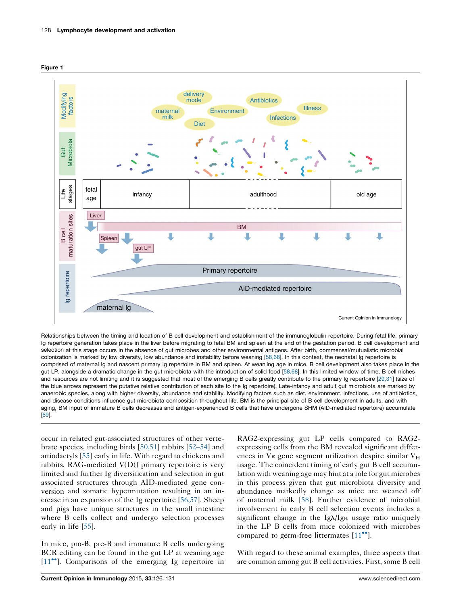<span id="page-2-0"></span>



Relationships between the timing and location of B cell development and establishment of the immunoglobulin repertoire. During fetal life, primary Ig repertoire generation takes place in the liver before migrating to fetal BM and spleen at the end of the gestation period. B cell development and selection at this stage occurs in the absence of gut microbes and other environmental antigens. After birth, commensal/mutualistic microbial colonization is marked by low diversity, low abundance and instability before weaning [[58,68](#page-5-0)]. In this context, the neonatal Ig repertoire is comprised of maternal Ig and nascent primary Ig repertoire in BM and spleen. At weanling age in mice, B cell development also takes place in the gut LP, alongside a dramatic change in the gut microbiota with the introduction of solid food [\[58,68\]](#page-5-0). In this limited window of time, B cell niches and resources are not limiting and it is suggested that most of the emerging B cells greatly contribute to the primary Ig repertoire [\[29,31\]](#page-4-0) (size of the blue arrows represent the putative relative contribution of each site to the Ig repertoire). Late-infancy and adult gut microbiota are marked by anaerobic species, along with higher diversity, abundance and stability. Modifying factors such as diet, environment, infections, use of antibiotics, and disease conditions influence gut microbiota composition throughout life. BM is the principal site of B cell development in adults, and with aging, BM input of immature B cells decreases and antigen-experienced B cells that have undergone SHM (AID-mediated repertoire) accumulate [[69](#page-5-0)].

occur in related gut-associated structures of other vertebrate species, including birds [[50,51](#page-4-0)] rabbits [52–[54](#page-5-0)] and artiodactyls [[55\]](#page-5-0) early in life. With regard to chickens and rabbits, RAG-mediated V(D)J primary repertoire is very limited and further Ig diversification and selection in gut associated structures through AID-mediated gene conversion and somatic hypermutation resulting in an increase in an expansion of the Ig repertoire [[56,57](#page-5-0)]. Sheep and pigs have unique structures in the small intestine where B cells collect and undergo selection processes early in life [[55\]](#page-5-0).

In mice, pro-B, pre-B and immature B cells undergoing BCR editing can be found in the gut LP at weaning age [\[11](#page-3-0)<sup>\*</sup>]. Comparisons of the emerging Ig repertoire in

RAG2-expressing gut LP cells compared to RAG2 expressing cells from the BM revealed significant differences in  $V_K$  gene segment utilization despite similar  $V_H$ usage. The coincident timing of early gut B cell accumulation with weaning age may hint at a role for gut microbes in this process given that gut microbiota diversity and abundance markedly change as mice are weaned off of maternal milk [\[58](#page-5-0)]. Further evidence of microbial involvement in early B cell selection events includes a significant change in the  $Ig\lambda/Ig\kappa$  usage ratio uniquely in the LP B cells from mice colonized with microbes compared to germ-free littermates [[11](#page-3-0)<sup>••</sup>].

With regard to these animal examples, three aspects that are common among gut B cell activities. First, some B cell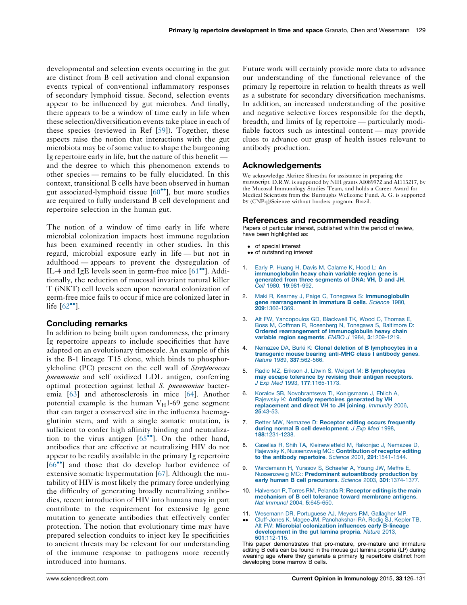<span id="page-3-0"></span>developmental and selection events occurring in the gut are distinct from B cell activation and clonal expansion events typical of conventional inflammatory responses of secondary lymphoid tissue. Second, selection events appear to be influenced by gut microbes. And finally, there appears to be a window of time early in life when these selection/diversification events take place in each of these species (reviewed in Ref [\[59](#page-5-0)]). Together, these aspects raise the notion that interactions with the gut microbiota may be of some value to shape the burgeoning Ig repertoire early in life, but the nature of this benefit and the degree to which this phenomenon extends to other species — remains to be fully elucidated. In this context, transitional B cells have been observed in human gut associated-lymphoid tissue [[60](#page-5-0)<sup>••</sup>], but more studies are required to fully understand B cell development and repertoire selection in the human gut.

The notion of a window of time early in life where microbial colonization impacts host immune regulation has been examined recently in other studies. In this regard, microbial exposure early in life — but not in adulthood — appears to prevent the dysregulation of IL-4 and IgE levels seen in germ-free mice [\[61](#page-5-0)<sup>••</sup>]. Additionally, the reduction of mucosal invariant natural killer T (iNKT) cell levels seen upon neonatal colonization of germ-free mice fails to occur if mice are colonized later in life  $[62^{\bullet\bullet}]$  $[62^{\bullet\bullet}]$  $[62^{\bullet\bullet}]$ .

## Concluding remarks

In addition to being built upon randomness, the primary Ig repertoire appears to include specificities that have adapted on an evolutionary timescale. An example of this is the B-1 lineage T15 clone, which binds to phosphorylcholine (PC) present on the cell wall of Streptococcus pneumonia and self oxidized LDL antigen, conferring optimal protection against lethal S. pneumoniae bacteremia [\[63](#page-5-0)] and atherosclerosis in mice [[64\]](#page-5-0). Another potential example is the human  $V_H1-69$  gene segment that can target a conserved site in the influenza haemagglutinin stem, and with a single somatic mutation, is sufficient to confer high affinity binding and neutralization to the virus antigen  $[65\text{''}]$  $[65\text{''}]$  $[65\text{''}]$ . On the other hand, antibodies that are effective at neutralizing HIV do not appear to be readily available in the primary Ig repertoire [\[66](#page-5-0)<sup>••</sup>] and those that do develop harbor evidence of extensive somatic hypermutation [\[67](#page-5-0)]. Although the mutability of HIV is most likely the primary force underlying the difficulty of generating broadly neutralizing antibodies, recent introduction of HIV into humans may in part contribute to the requirement for extensive Ig gene mutation to generate antibodies that effectively confer protection. The notion that evolutionary time may have prepared selection conduits to inject key Ig specificities to ancient threats may be relevant for our understanding of the immune response to pathogens more recently introduced into humans.

Future work will certainly provide more data to advance our understanding of the functional relevance of the primary Ig repertoire in relation to health threats as well as a substrate for secondary diversification mechanisms. In addition, an increased understanding of the positive and negative selective forces responsible for the depth, breadth, and limits of Ig repertoire — particularly modifiable factors such as intestinal content — may provide clues to advance our grasp of health issues relevant to antibody production.

### Acknowledgements

We acknowledge Akritee Shrestha for assistance in preparing the manuscript. D.R.W. is supported by NIH grants AI089972 and AI113217, by the Mucosal Immunology Studies Team, and holds a Career Award for Medical Scientists from the Burroughs Wellcome Fund. A. G. is supported by (CNPq)/Science without borders program, Brazil.

### References and recommended reading

Papers of particular interest, published within the period of review, have been highlighted as:

- of special interest
- •• of outstanding interest
- Early P, Huang H, Davis M, [Calame](http://refhub.elsevier.com/S0952-7915(15)00040-0/sbref0355) K, Hood L: An [immunoglobulin](http://refhub.elsevier.com/S0952-7915(15)00040-0/sbref0355) heavy chain variable region gene is [generated](http://refhub.elsevier.com/S0952-7915(15)00040-0/sbref0355) from three segments of DNA: VH, D and JH. Cell 1980, 19[:981-992.](http://refhub.elsevier.com/S0952-7915(15)00040-0/sbref0355)
- Maki R, Kearney J, Paige C, Tonegawa S: [Immunoglobulin](http://refhub.elsevier.com/S0952-7915(15)00040-0/sbref0360) gene [rearrangement](http://refhub.elsevier.com/S0952-7915(15)00040-0/sbref0360) in immature B cells. Science 1980,<br>**209**[:1366-1369.](http://refhub.elsevier.com/S0952-7915(15)00040-0/sbref0360)
- 3. Alt FW, [Yancopoulos](http://refhub.elsevier.com/S0952-7915(15)00040-0/sbref0365) GD, Blackwell TK, Wood C, Thomas E, Boss M, Coffman R, [Rosenberg](http://refhub.elsevier.com/S0952-7915(15)00040-0/sbref0365) N, Tonegawa S, Baltimore D: Ordered rearrangement of [immunoglobulin](http://refhub.elsevier.com/S0952-7915(15)00040-0/sbref0365) heavy chain variable region segments. EMBO J 1984, 3[:1209-1219.](http://refhub.elsevier.com/S0952-7915(15)00040-0/sbref0365)
- 4. Nemazee DA, Burki K: Clonal deletion of B [lymphocytes](http://refhub.elsevier.com/S0952-7915(15)00040-0/sbref0370) in a [transgenic](http://refhub.elsevier.com/S0952-7915(15)00040-0/sbref0370) mouse bearing anti-MHC class I antibody genes. Nature 1989, 337[:562-566.](http://refhub.elsevier.com/S0952-7915(15)00040-0/sbref0370)
- 5. Radic MZ, Erikson J, Litwin S, Weigert M: B [lymphocytes](http://refhub.elsevier.com/S0952-7915(15)00040-0/sbref0375) may escape tolerance by revising their antigen [receptors](http://refhub.elsevier.com/S0952-7915(15)00040-0/sbref0375). J Exp Med 1993, 177[:1165-1173.](http://refhub.elsevier.com/S0952-7915(15)00040-0/sbref0375)
- 6. Koralov SB, [Novobrantseva](http://refhub.elsevier.com/S0952-7915(15)00040-0/sbref0380) TI, Konigsmann J, Ehlich A, Rajewsky K: Antibody [repertoires](http://refhub.elsevier.com/S0952-7915(15)00040-0/sbref0380) generated by VH [replacement](http://refhub.elsevier.com/S0952-7915(15)00040-0/sbref0380) and direct VH to JH joining. Immunity 2006, 25[:43-53.](http://refhub.elsevier.com/S0952-7915(15)00040-0/sbref0380)
- 7. Retter MW, Nemazee D: Receptor editing occurs [frequently](http://refhub.elsevier.com/S0952-7915(15)00040-0/sbref0385) during normal B cell [development](http://refhub.elsevier.com/S0952-7915(15)00040-0/sbref0385). J Exp Med 1998, 188[:1231-1238.](http://refhub.elsevier.com/S0952-7915(15)00040-0/sbref0385)
- 8. Casellas R, Shih TA, [Kleinewietfeld](http://refhub.elsevier.com/S0952-7915(15)00040-0/sbref0390) M, Rakonjac J, Nemazee D, Rajewsky K, Nussenzweig MC:: [Contribution](http://refhub.elsevier.com/S0952-7915(15)00040-0/sbref0390) of receptor editing to the antibody repertoire. Science 2001, 291[:1541-1544.](http://refhub.elsevier.com/S0952-7915(15)00040-0/sbref0390)
- 9. [Wardemann](http://refhub.elsevier.com/S0952-7915(15)00040-0/sbref0395) H, Yurasov S, Schaefer A, Young JW, Meffre E, Nussenzweig MC:: Predominant [autoantibody](http://refhub.elsevier.com/S0952-7915(15)00040-0/sbref0395) production by early human B cell precursors. Science 2003, 301[:1374-1377.](http://refhub.elsevier.com/S0952-7915(15)00040-0/sbref0395)
- 10. [Halverson](http://refhub.elsevier.com/S0952-7915(15)00040-0/sbref0400) R, Torres RM, Pelanda R: Receptor editing is the main [mechanism](http://refhub.elsevier.com/S0952-7915(15)00040-0/sbref0400) of B cell tolerance toward membrane antigens. Nat Immunol 2004, 5[:645-650.](http://refhub.elsevier.com/S0952-7915(15)00040-0/sbref0400)
- 11. Wesemann DR, [Portuguese](http://refhub.elsevier.com/S0952-7915(15)00040-0/sbref0405) AJ, Meyers RM, Gallagher MP,
- --Cluff-Jones K, Magee JM, [Panchakshari](http://refhub.elsevier.com/S0952-7915(15)00040-0/sbref0405) RA, Rodig SJ, Kepler TB, Alt FW: Microbial [colonization](http://refhub.elsevier.com/S0952-7915(15)00040-0/sbref0405) influences early B-lineage [development](http://refhub.elsevier.com/S0952-7915(15)00040-0/sbref0405) in the gut lamina propria. Nature 2013, 501[:112-115.](http://refhub.elsevier.com/S0952-7915(15)00040-0/sbref0405)

This paper demonstrates that pro-mature, pre-mature and immature editing B cells can be found in the mouse gut lamina propria (LP) during weaning age where they generate a primary Ig repertoire distinct from developing bone marrow B cells.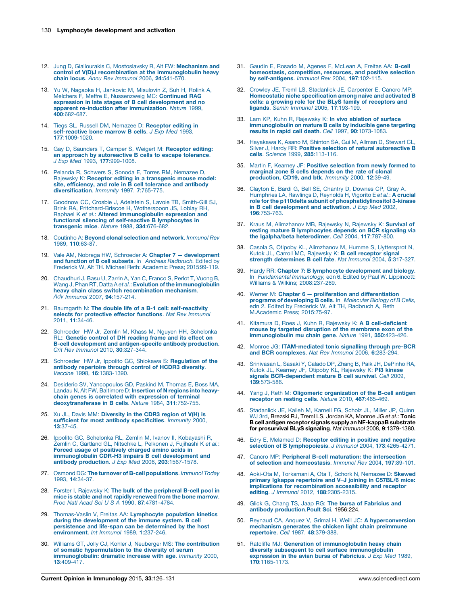- <span id="page-4-0"></span>12. Jung D, Giallourakis C, [Mostoslavsky](http://refhub.elsevier.com/S0952-7915(15)00040-0/sbref0410) R, Alt FW: Mechanism and control of V(D)J recombination at the [immunoglobulin](http://refhub.elsevier.com/S0952-7915(15)00040-0/sbref0410) heavy chain locus. Annu Rev Immunol 2006, 24[:541-570.](http://refhub.elsevier.com/S0952-7915(15)00040-0/sbref0410)
- 13. Yu W, Nagaoka H, Jankovic M, [Misulovin](http://refhub.elsevier.com/S0952-7915(15)00040-0/sbref0415) Z, Suh H, Rolink A, Melchers F, Meffre E, [Nussenzweig](http://refhub.elsevier.com/S0952-7915(15)00040-0/sbref0415) MC: Continued RAG expression in late stages of B cell [development](http://refhub.elsevier.com/S0952-7915(15)00040-0/sbref0415) and no apparent re-induction after [immunization](http://refhub.elsevier.com/S0952-7915(15)00040-0/sbref0415). Nature 1999,  $400.682-687$
- 14. Tiegs SL, Russell DM, Nemazee D: [Receptor](http://refhub.elsevier.com/S0952-7915(15)00040-0/sbref0420) editing in [self-reactive](http://refhub.elsevier.com/S0952-7915(15)00040-0/sbref0420) bone marrow B cells. J Exp Med 1993, 177[:1009-1020.](http://refhub.elsevier.com/S0952-7915(15)00040-0/sbref0420)
- 15. Gay D, Saunders T, Camper S, Weigert M: [Receptor](http://refhub.elsevier.com/S0952-7915(15)00040-0/sbref0425) editing: an approach by [autoreactive](http://refhub.elsevier.com/S0952-7915(15)00040-0/sbref0425) B cells to escape tolerance. J Exp Med 1993, 177[:999-1008.](http://refhub.elsevier.com/S0952-7915(15)00040-0/sbref0425)
- 16. Pelanda R, Schwers S, Sonoda E, Torres RM, [Nemazee](http://refhub.elsevier.com/S0952-7915(15)00040-0/sbref0430) D, Rajewsky K: Receptor editing in a [transgenic](http://refhub.elsevier.com/S0952-7915(15)00040-0/sbref0430) mouse model: site, [efficiency,](http://refhub.elsevier.com/S0952-7915(15)00040-0/sbref0430) and role in B cell tolerance and antibody [diversification](http://refhub.elsevier.com/S0952-7915(15)00040-0/sbref0430). Immunity 1997, 7:765-775.
- 17. [Goodnow](http://refhub.elsevier.com/S0952-7915(15)00040-0/sbref0435) CC, Crosbie J, Adelstein S, Lavoie TB, Smith-Gill SJ, Brink RA, [Pritchard-Briscoe](http://refhub.elsevier.com/S0952-7915(15)00040-0/sbref0435) H, Wotherspoon JS, Loblay RH, Raphael K et al.: Altered [immunoglobulin](http://refhub.elsevier.com/S0952-7915(15)00040-0/sbref0435) expression and functional silencing of self-reactive B [lymphocytes](http://refhub.elsevier.com/S0952-7915(15)00040-0/sbref0435) in [transgenic](http://refhub.elsevier.com/S0952-7915(15)00040-0/sbref0435) mice. Nature 1988, 334:676-682.
- 18. Coutinho A: Beyond clonal [selection](http://refhub.elsevier.com/S0952-7915(15)00040-0/sbref0440) and network. Immunol Rev 1989, 110[:63-87.](http://refhub.elsevier.com/S0952-7915(15)00040-0/sbref0440)
- 19. Vale AM, Nobrega HW, [Schroeder](http://refhub.elsevier.com/S0952-7915(15)00040-0/sbref0445) A: Chapter 7 [development](http://refhub.elsevier.com/S0952-7915(15)00040-0/sbref0445) and function of B cell subsets. In Andreas [Radbruch.](http://refhub.elsevier.com/S0952-7915(15)00040-0/sbref0445) Edited by Frederick W, Alt TH. Michael Reth: [Academic](http://refhub.elsevier.com/S0952-7915(15)00040-0/sbref0445) Press; 2015[:99-119.](http://refhub.elsevier.com/S0952-7915(15)00040-0/sbref0445)
- 20. [Chaudhuri](http://refhub.elsevier.com/S0952-7915(15)00040-0/sbref0450) J, Basu U, Zarrin A, Yan C, Franco S, Perlot T, Vuong B, Wang J, Phan RT, Datta A et al.: **Evolution of the [immunoglobulin](http://refhub.elsevier.com/S0952-7915(15)00040-0/sbref0450)** heavy chain class switch [recombination](http://refhub.elsevier.com/S0952-7915(15)00040-0/sbref0450) mechanism. Adv Immunol 2007, 94[:157-214.](http://refhub.elsevier.com/S0952-7915(15)00040-0/sbref0450)
- 21. Baumgarth N: The double life of a B-1 cell: [self-reactivity](http://refhub.elsevier.com/S0952-7915(15)00040-0/sbref0455) selects for [protective](http://refhub.elsevier.com/S0952-7915(15)00040-0/sbref0455) effector functions. Nat Rev Immunol 2011, 11[:34-46.](http://refhub.elsevier.com/S0952-7915(15)00040-0/sbref0455)
- 22. Schroeder HW Jr, Zemlin M, Khass M, Nguyen HH, [Schelonka](http://refhub.elsevier.com/S0952-7915(15)00040-0/sbref0460) RL:: [Genetic](http://refhub.elsevier.com/S0952-7915(15)00040-0/sbref0460) control of DH reading frame and its effect on B-cell development and [antigen-specifc](http://refhub.elsevier.com/S0952-7915(15)00040-0/sbref0460) antibody production. Crit Rev Immunol 2010, 30[:327-344.](http://refhub.elsevier.com/S0952-7915(15)00040-0/sbref0460)
- 23. Schroeder HW Jr, Ippolito GC, Shiokawa S: [Regulation](http://refhub.elsevier.com/S0952-7915(15)00040-0/sbref0465) of the antibody [repertoire](http://refhub.elsevier.com/S0952-7915(15)00040-0/sbref0465) through control of HCDR3 diversity. Vaccine 1998, 16[:1383-1390.](http://refhub.elsevier.com/S0952-7915(15)00040-0/sbref0465)
- 24. Desiderio SV, [Yancopoulos](http://refhub.elsevier.com/S0952-7915(15)00040-0/sbref0470) GD, Paskind M, Thomas E, Boss MA, Landau N, Alt FW, [Baltimore](http://refhub.elsevier.com/S0952-7915(15)00040-0/sbref0470) D: Insertion of N regions into heavychain genes is correlated with [expression](http://refhub.elsevier.com/S0952-7915(15)00040-0/sbref0470) of terminal [deoxytransferase](http://refhub.elsevier.com/S0952-7915(15)00040-0/sbref0470) in B cells. Nature 1984, 311:752-755.
- 25. Xu JL, Davis MM: [Diversity](http://refhub.elsevier.com/S0952-7915(15)00040-0/sbref0475) in the CDR3 region of V(H) is sufficient for most antibody [specificities](http://refhub.elsevier.com/S0952-7915(15)00040-0/sbref0475). Immunity 2000, 13[:37-45.](http://refhub.elsevier.com/S0952-7915(15)00040-0/sbref0475)
- 26. Ippolito GC, Schelonka RL, Zemlin M, Ivanov II, [Kobayashi](http://refhub.elsevier.com/S0952-7915(15)00040-0/sbref0480) R, Zemlin C, Gartland GL, Nitschke L, [Pelkonen](http://refhub.elsevier.com/S0952-7915(15)00040-0/sbref0480) J, Fujihashi K et al.: Forced usage of [positively](http://refhub.elsevier.com/S0952-7915(15)00040-0/sbref0480) charged amino acids in [immunoglobulin](http://refhub.elsevier.com/S0952-7915(15)00040-0/sbref0480) CDR-H3 impairs B cell development and antibody production. J Exp Med 2006, 203[:1567-1578.](http://refhub.elsevier.com/S0952-7915(15)00040-0/sbref0480)
- 27. Osmond DG: The turnover of B-cell [populations](http://refhub.elsevier.com/S0952-7915(15)00040-0/sbref0485). Immunol Today 1993, 14[:34-37.](http://refhub.elsevier.com/S0952-7915(15)00040-0/sbref0485)
- 28. Forster I, Rajewsky K: The bulk of the [peripheral](http://refhub.elsevier.com/S0952-7915(15)00040-0/sbref0490) B-cell pool in mice is stable and not rapidly [renewed](http://refhub.elsevier.com/S0952-7915(15)00040-0/sbref0490) from the bone marrow. Proc Natl Acad Sci U S A 1990, 87[:4781-4784.](http://refhub.elsevier.com/S0952-7915(15)00040-0/sbref0490)
- 29. [Thomas-Vaslin](http://refhub.elsevier.com/S0952-7915(15)00040-0/sbref0495) V, Freitas AA: Lymphocyte population kinetics during the [development](http://refhub.elsevier.com/S0952-7915(15)00040-0/sbref0495) of the immune system. B cell [persistence](http://refhub.elsevier.com/S0952-7915(15)00040-0/sbref0495) and life-span can be determined by the host [environment](http://refhub.elsevier.com/S0952-7915(15)00040-0/sbref0495). Int Immunol 1989, 1:237-246.
- 30. Williams GT, Jolly CJ, Kohler J, Neuberger MS: The [contribution](http://refhub.elsevier.com/S0952-7915(15)00040-0/sbref0500) of somatic [hypermutation](http://refhub.elsevier.com/S0952-7915(15)00040-0/sbref0500) to the diversity of serum [immunoglobulin:](http://refhub.elsevier.com/S0952-7915(15)00040-0/sbref0500) dramatic increase with age. Immunity 2000, 13[:409-417.](http://refhub.elsevier.com/S0952-7915(15)00040-0/sbref0500)
- 31. Gaudin E, Rosado M, Agenes F, [McLean](http://refhub.elsevier.com/S0952-7915(15)00040-0/sbref0695) A, Freitas AA: B-cell [homeostasis,](http://refhub.elsevier.com/S0952-7915(15)00040-0/sbref0695) competition, resources, and positive selection by [self-antigens](http://refhub.elsevier.com/S0952-7915(15)00040-0/sbref0695). Immunol Rev 2004, 197:102-115.
- 32. Crowley JE, Treml LS, [Stadanlick](http://refhub.elsevier.com/S0952-7915(15)00040-0/sbref0510) JE, Carpenter E, Cancro MP: Homeostatic niche [specification](http://refhub.elsevier.com/S0952-7915(15)00040-0/sbref0510) among naive and activated B cells: a growing role for the BLyS family of [receptors](http://refhub.elsevier.com/S0952-7915(15)00040-0/sbref0510) and ligands. Semin Immunol 2005, 17[:193-199.](http://refhub.elsevier.com/S0952-7915(15)00040-0/sbref0510)
- 33. Lam KP, Kuhn R, [Rajewsky](http://refhub.elsevier.com/S0952-7915(15)00040-0/sbref0515) K: In vivo ablation of surface [immunoglobulin](http://refhub.elsevier.com/S0952-7915(15)00040-0/sbref0515) on mature B cells by inducible gene targeting results in rapid cell death. Cell 1997, 90[:1073-1083.](http://refhub.elsevier.com/S0952-7915(15)00040-0/sbref0515)
- 34. [Hayakawa](http://refhub.elsevier.com/S0952-7915(15)00040-0/sbref0520) K, Asano M, Shinton SA, Gui M, Allman D, Stewart CL, Silver J, Hardy RR: Positive selection of natural [autoreactive](http://refhub.elsevier.com/S0952-7915(15)00040-0/sbref0520) B cells. Science 1999, 285[:113-116.](http://refhub.elsevier.com/S0952-7915(15)00040-0/sbref0520)
- 35. Martin F, Kearney JF: Positive [selection](http://refhub.elsevier.com/S0952-7915(15)00040-0/sbref0525) from newly formed to marginal zone B cells [depends](http://refhub.elsevier.com/S0952-7915(15)00040-0/sbref0525) on the rate of clonal [production,](http://refhub.elsevier.com/S0952-7915(15)00040-0/sbref0525) CD19, and btk. Immunity 2000, 12:39-49.
- 36. Clayton E, Bardi G, Bell SE, Chantry D, [Downes](http://refhub.elsevier.com/S0952-7915(15)00040-0/sbref0530) CP, Gray A, [Humphries](http://refhub.elsevier.com/S0952-7915(15)00040-0/sbref0530) LA, Rawlings D, Reynolds H, Vigorito E et al.: A crucial role for the p110delta subunit of [phosphatidylinositol](http://refhub.elsevier.com/S0952-7915(15)00040-0/sbref0530) 3-kinase in B cell [development](http://refhub.elsevier.com/S0952-7915(15)00040-0/sbref0530) and activation. J Exp Med 2002, 196[:753-763.](http://refhub.elsevier.com/S0952-7915(15)00040-0/sbref0530)
- 37. Kraus M, [Alimzhanov](http://refhub.elsevier.com/S0952-7915(15)00040-0/sbref0535) MB, Rajewsky N, Rajewsky K: Survival of resting mature B [lymphocytes](http://refhub.elsevier.com/S0952-7915(15)00040-0/sbref0535) depends on BCR signaling via the [Igalpha/beta](http://refhub.elsevier.com/S0952-7915(15)00040-0/sbref0535) heterodimer. Cell 2004, 117:787-800.
- 38. Casola S, Otipoby KL, [Alimzhanov](http://refhub.elsevier.com/S0952-7915(15)00040-0/sbref0540) M, Humme S, Uyttersprot N, Kutok JL, Carroll MC, [Rajewsky](http://refhub.elsevier.com/S0952-7915(15)00040-0/sbref0540) K: B cell receptor signal strength [determines](http://refhub.elsevier.com/S0952-7915(15)00040-0/sbref0540) B cell fate. Nat Immunol 2004, 5:317-327.
- 39. Hardy RR: Chapter 7: B lymphocyte [development](http://refhub.elsevier.com/S0952-7915(15)00040-0/sbref0545) and biology.<br>In [Fundamental](http://refhub.elsevier.com/S0952-7915(15)00040-0/sbref0545) Immunology, edn 6. Edited by Paul W. Lippincott: [Williams](http://refhub.elsevier.com/S0952-7915(15)00040-0/sbref0545) & Wilkins; 2008:[237-269](http://refhub.elsevier.com/S0952-7915(15)00040-0/sbref0545).
- 40. Werner M: [Chapter](http://refhub.elsevier.com/S0952-7915(15)00040-0/sbref0550) 6 proliferation and [differentiation](http://refhub.elsevier.com/S0952-7915(15)00040-0/sbref0550) **programs of [developing](http://refhub.elsevier.com/S0952-7915(15)00040-0/sbref0550) B cells**. In *Molecular Biology of B Cells,*<br>edn 2. Edited by Frederick W, Alt TH, [Radbruch](http://refhub.elsevier.com/S0952-7915(15)00040-0/sbref0550) A, Reth [M.Academic](http://refhub.elsevier.com/S0952-7915(15)00040-0/sbref0550) Press; 2015[:75-97.](http://refhub.elsevier.com/S0952-7915(15)00040-0/sbref0550)
- 41. Kitamura D, Roes J, Kuhn R, Rajewsky K: A B [cell-deficient](http://refhub.elsevier.com/S0952-7915(15)00040-0/sbref0555) mouse by targeted disruption of the [membrane](http://refhub.elsevier.com/S0952-7915(15)00040-0/sbref0555) exon of the [immunoglobulin](http://refhub.elsevier.com/S0952-7915(15)00040-0/sbref0555) mu chain gene. Nature 1991, 350:423-426.
- 42. Monroe JG: [ITAM-mediated](http://refhub.elsevier.com/S0952-7915(15)00040-0/sbref0560) tonic signalling through pre-BCR and BCR [complexes](http://refhub.elsevier.com/S0952-7915(15)00040-0/sbref0560). Nat Rev Immunol 2006, 6:283-294.
- 43. [Srinivasan](http://refhub.elsevier.com/S0952-7915(15)00040-0/sbref0565) L, Sasaki Y, Calado DP, Zhang B, Paik JH, DePinho RA,<br>Kutok JL, Kearney JF, Otipoby KL, [Rajewsky](http://refhub.elsevier.com/S0952-7915(15)00040-0/sbref0565) K: **PI3 kinase** signals [BCR-dependent](http://refhub.elsevier.com/S0952-7915(15)00040-0/sbref0565) mature B cell survival. Cell 2009, 139[:573-586.](http://refhub.elsevier.com/S0952-7915(15)00040-0/sbref0565)
- 44. Yang J, Reth M: Oligomeric [organization](http://refhub.elsevier.com/S0952-7915(15)00040-0/sbref0570) of the B-cell antigen receptor on resting cells. Nature 2010, 467[:465-469.](http://refhub.elsevier.com/S0952-7915(15)00040-0/sbref0570)
- 45. [Stadanlick](http://refhub.elsevier.com/S0952-7915(15)00040-0/sbref0575) JE, Kaileh M, Karnell FG, Scholz JL, Miller JP, Quinn WJ 3rd, Brezski RJ, Treml LS, Jordan KA, [Monroe](http://refhub.elsevier.com/S0952-7915(15)00040-0/sbref0575) JG et al.: Tonic B cell antigen receptor signals supply an [NF-kappaB](http://refhub.elsevier.com/S0952-7915(15)00040-0/sbref0575) substrate for prosurvival BLyS signaling. Nat Immunol 2008, 9[:1379-1380.](http://refhub.elsevier.com/S0952-7915(15)00040-0/sbref0575)
- 46. Edry E, Melamed D: [Receptor](http://refhub.elsevier.com/S0952-7915(15)00040-0/sbref0580) editing in positive and negative selection of B [lymphopoiesis](http://refhub.elsevier.com/S0952-7915(15)00040-0/sbref0580). J Immunol 2004, 173:4265-4271.
- 47. Cancro MP: Peripheral B-cell maturation: the [intersection](http://refhub.elsevier.com/S0952-7915(15)00040-0/sbref0585) of selection and [homeostasis](http://refhub.elsevier.com/S0952-7915(15)00040-0/sbref0585). Immunol Rev 2004, 197:89-101.
- 48. Aoki-Ota M, [Torkamani](http://refhub.elsevier.com/S0952-7915(15)00040-0/sbref0590) A, Ota T, Schork N, Nemazee D: Skewed primary Igkappa [repertoire](http://refhub.elsevier.com/S0952-7915(15)00040-0/sbref0590) and V–J joining in C57BL/6 mice: implications for [recombination](http://refhub.elsevier.com/S0952-7915(15)00040-0/sbref0590) accessibility and receptor editing. J Immunol 2012, 188[:2305-2315.](http://refhub.elsevier.com/S0952-7915(15)00040-0/sbref0590)
- 49. Glick G, Chang TS, Jaap RG: The bursa of [Fabricius](http://refhub.elsevier.com/S0952-7915(15)00040-0/sbref0595) and antibody [production](http://refhub.elsevier.com/S0952-7915(15)00040-0/sbref0595).Poult Sci. 1956:224.
- 50. Reynaud CA, Anquez V, Grimal H, Weill JC: A [hyperconversion](http://refhub.elsevier.com/S0952-7915(15)00040-0/sbref0600)<br>[mechanism](http://refhub.elsevier.com/S0952-7915(15)00040-0/sbref0600) generates the chicken light chain preimmune [repertoire](http://refhub.elsevier.com/S0952-7915(15)00040-0/sbref0600). Cell 1987, 48:379-388.
- 51. Ratcliffe MJ: Generation of [immunoglobulin](http://refhub.elsevier.com/S0952-7915(15)00040-0/sbref0605) heavy chain diversity subsequent to cell surface [immunoglobulin](http://refhub.elsevier.com/S0952-7915(15)00040-0/sbref0605) [expression](http://refhub.elsevier.com/S0952-7915(15)00040-0/sbref0605) in the avian bursa of Fabricius. J Exp Med 1989, 170[:1165-1173.](http://refhub.elsevier.com/S0952-7915(15)00040-0/sbref0605)